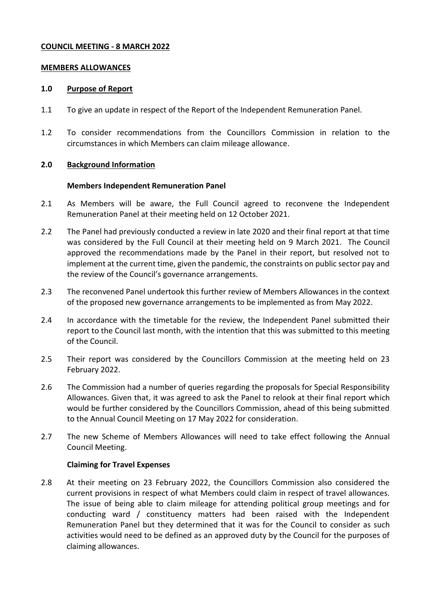# **COUNCIL MEETING - 8 MARCH 2022**

#### **MEMBERS ALLOWANCES**

#### **1.0 Purpose of Report**

- 1.1 To give an update in respect of the Report of the Independent Remuneration Panel.
- 1.2 To consider recommendations from the Councillors Commission in relation to the circumstances in which Members can claim mileage allowance.

### **2.0 Background Information**

### **Members Independent Remuneration Panel**

- 2.1 As Members will be aware, the Full Council agreed to reconvene the Independent Remuneration Panel at their meeting held on 12 October 2021.
- 2.2 The Panel had previously conducted a review in late 2020 and their final report at that time was considered by the Full Council at their meeting held on 9 March 2021. The Council approved the recommendations made by the Panel in their report, but resolved not to implement at the current time, given the pandemic, the constraints on public sector pay and the review of the Council's governance arrangements.
- 2.3 The reconvened Panel undertook this further review of Members Allowances in the context of the proposed new governance arrangements to be implemented as from May 2022.
- 2.4 In accordance with the timetable for the review, the Independent Panel submitted their report to the Council last month, with the intention that this was submitted to this meeting of the Council.
- 2.5 Their report was considered by the Councillors Commission at the meeting held on 23 February 2022.
- 2.6 The Commission had a number of queries regarding the proposals for Special Responsibility Allowances. Given that, it was agreed to ask the Panel to relook at their final report which would be further considered by the Councillors Commission, ahead of this being submitted to the Annual Council Meeting on 17 May 2022 for consideration.
- 2.7 The new Scheme of Members Allowances will need to take effect following the Annual Council Meeting.

# **Claiming for Travel Expenses**

2.8 At their meeting on 23 February 2022, the Councillors Commission also considered the current provisions in respect of what Members could claim in respect of travel allowances. The issue of being able to claim mileage for attending political group meetings and for conducting ward / constituency matters had been raised with the Independent Remuneration Panel but they determined that it was for the Council to consider as such activities would need to be defined as an approved duty by the Council for the purposes of claiming allowances.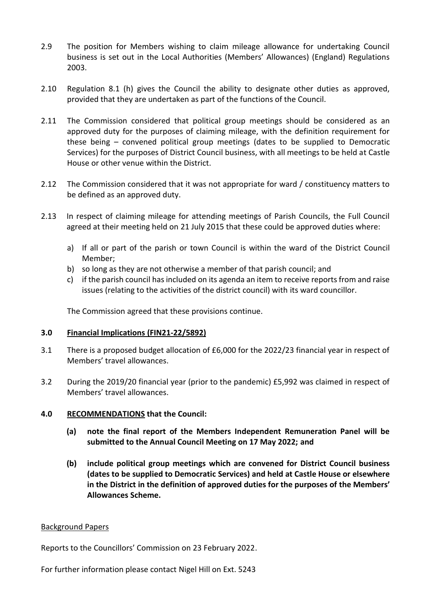- 2.9 The position for Members wishing to claim mileage allowance for undertaking Council business is set out in the Local Authorities (Members' Allowances) (England) Regulations 2003.
- 2.10 Regulation 8.1 (h) gives the Council the ability to designate other duties as approved, provided that they are undertaken as part of the functions of the Council.
- 2.11 The Commission considered that political group meetings should be considered as an approved duty for the purposes of claiming mileage, with the definition requirement for these being – convened political group meetings (dates to be supplied to Democratic Services) for the purposes of District Council business, with all meetings to be held at Castle House or other venue within the District.
- 2.12 The Commission considered that it was not appropriate for ward / constituency matters to be defined as an approved duty.
- 2.13 In respect of claiming mileage for attending meetings of Parish Councils, the Full Council agreed at their meeting held on 21 July 2015 that these could be approved duties where:
	- a) If all or part of the parish or town Council is within the ward of the District Council Member;
	- b) so long as they are not otherwise a member of that parish council; and
	- c) if the parish council has included on its agenda an item to receive reports from and raise issues (relating to the activities of the district council) with its ward councillor.

The Commission agreed that these provisions continue.

# **3.0 Financial Implications (FIN21-22/5892)**

- 3.1 There is a proposed budget allocation of £6,000 for the 2022/23 financial year in respect of Members' travel allowances.
- 3.2 During the 2019/20 financial year (prior to the pandemic) £5,992 was claimed in respect of Members' travel allowances.

# **4.0 RECOMMENDATIONS that the Council:**

- **(a) note the final report of the Members Independent Remuneration Panel will be submitted to the Annual Council Meeting on 17 May 2022; and**
- **(b) include political group meetings which are convened for District Council business (dates to be supplied to Democratic Services) and held at Castle House or elsewhere in the District in the definition of approved duties for the purposes of the Members' Allowances Scheme.**

# Background Papers

Reports to the Councillors' Commission on 23 February 2022.

For further information please contact Nigel Hill on Ext. 5243